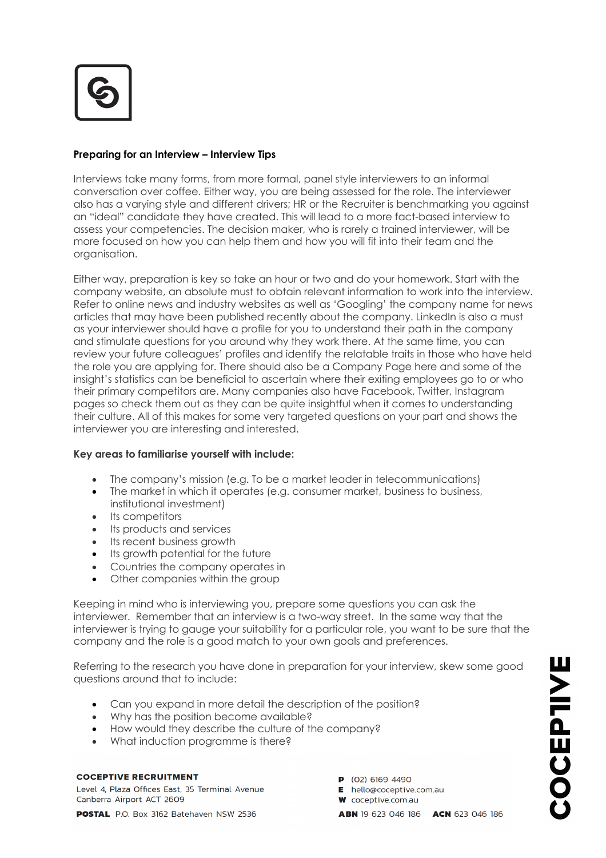

# **Preparing for an Interview – Interview Tips**

Interviews take many forms, from more formal, panel style interviewers to an informal conversation over coffee. Either way, you are being assessed for the role. The interviewer also has a varying style and different drivers; HR or the Recruiter is benchmarking you against an "ideal" candidate they have created. This will lead to a more fact-based interview to assess your competencies. The decision maker, who is rarely a trained interviewer, will be more focused on how you can help them and how you will fit into their team and the organisation.

Either way, preparation is key so take an hour or two and do your homework. Start with the company website, an absolute must to obtain relevant information to work into the interview. Refer to online news and industry websites as well as 'Googling' the company name for news articles that may have been published recently about the company. LinkedIn is also a must as your interviewer should have a profile for you to understand their path in the company and stimulate questions for you around why they work there. At the same time, you can review your future colleagues' profiles and identify the relatable traits in those who have held the role you are applying for. There should also be a Company Page here and some of the insight's statistics can be beneficial to ascertain where their exiting employees go to or who their primary competitors are. Many companies also have Facebook, Twitter, Instagram pages so check them out as they can be quite insightful when it comes to understanding their culture. All of this makes for some very targeted questions on your part and shows the interviewer you are interesting and interested.

### **Key areas to familiarise yourself with include:**

- The company's mission (e.g. To be a market leader in telecommunications)
- The market in which it operates (e.g. consumer market, business to business, institutional investment)
- Its competitors
- Its products and services
- Its recent business growth
- Its growth potential for the future
- Countries the company operates in
- Other companies within the group

Keeping in mind who is interviewing you, prepare some questions you can ask the interviewer. Remember that an interview is a two-way street. In the same way that the interviewer is trying to gauge your suitability for a particular role, you want to be sure that the company and the role is a good match to your own goals and preferences.

Referring to the research you have done in preparation for your interview, skew some good questions around that to include:

- Can you expand in more detail the description of the position?
- Why has the position become available?
- How would they describe the culture of the company?
- What induction programme is there?

### **COCEPTIVE RECRUITMENT**

Level 4, Plaza Offices East, 35 Terminal Avenue Canberra Airport ACT 2609

POSTAL P.O. Box 3162 Batehaven NSW 2536

- $P (02) 6169 4490$
- E hello@coceptive.com.au
- **W** coceptive com au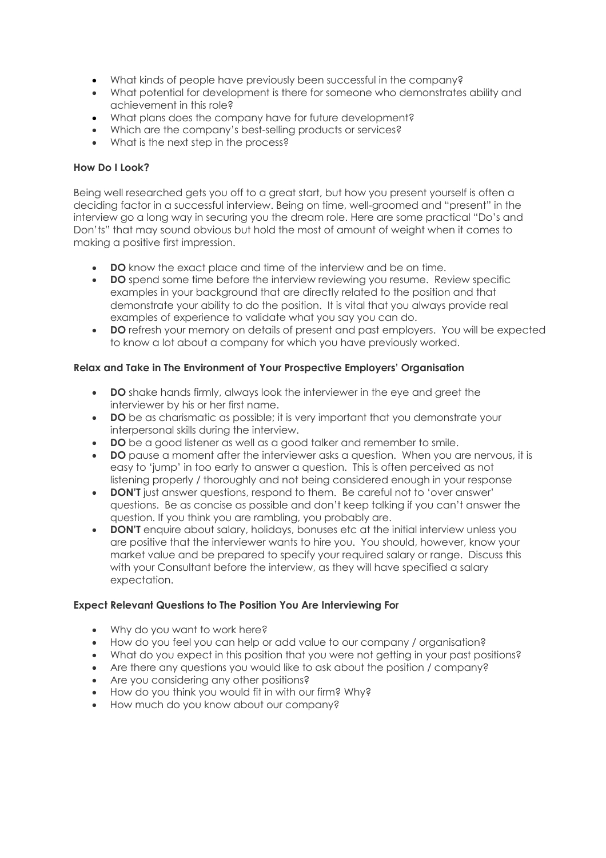- What kinds of people have previously been successful in the company?
- What potential for development is there for someone who demonstrates ability and achievement in this role?
- What plans does the company have for future development?
- Which are the company's best-selling products or services?
- What is the next step in the process?

### **How Do I Look?**

Being well researched gets you off to a great start, but how you present yourself is often a deciding factor in a successful interview. Being on time, well-groomed and "present" in the interview go a long way in securing you the dream role. Here are some practical "Do's and Don'ts" that may sound obvious but hold the most of amount of weight when it comes to making a positive first impression.

- **DO** know the exact place and time of the interview and be on time.
- **DO** spend some time before the interview reviewing you resume. Review specific examples in your background that are directly related to the position and that demonstrate your ability to do the position. It is vital that you always provide real examples of experience to validate what you say you can do.
- **DO** refresh your memory on details of present and past employers. You will be expected to know a lot about a company for which you have previously worked.

### **Relax and Take in The Environment of Your Prospective Employers' Organisation**

- **DO** shake hands firmly, always look the interviewer in the eye and greet the interviewer by his or her first name.
- **DO** be as charismatic as possible; it is very important that you demonstrate your interpersonal skills during the interview.
- **DO** be a good listener as well as a good talker and remember to smile.
- **DO** pause a moment after the interviewer asks a question. When you are nervous, it is easy to 'jump' in too early to answer a question. This is often perceived as not listening properly / thoroughly and not being considered enough in your response
- **DON'T** just answer questions, respond to them. Be careful not to 'over answer' questions. Be as concise as possible and don't keep talking if you can't answer the question. If you think you are rambling, you probably are.
- **DON'T** enquire about salary, holidays, bonuses etc at the initial interview unless you are positive that the interviewer wants to hire you. You should, however, know your market value and be prepared to specify your required salary or range. Discuss this with your Consultant before the interview, as they will have specified a salary expectation.

### **Expect Relevant Questions to The Position You Are Interviewing For**

- Why do you want to work here?
- How do you feel you can help or add value to our company / organisation?
- What do you expect in this position that you were not getting in your past positions?
- Are there any questions you would like to ask about the position / company?
- Are you considering any other positions?
- How do you think you would fit in with our firm? Why?
- How much do you know about our company?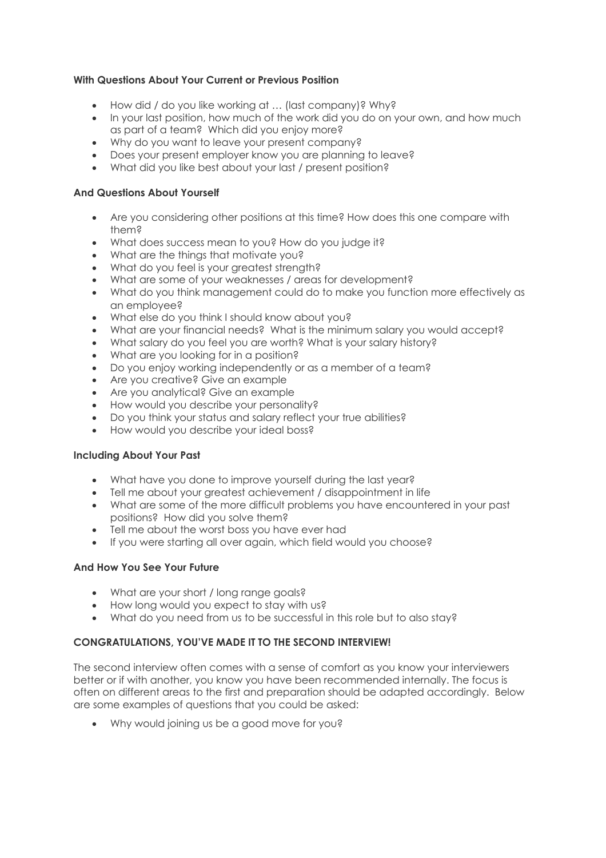## **With Questions About Your Current or Previous Position**

- How did / do you like working at … (last company)? Why?
- In your last position, how much of the work did you do on your own, and how much as part of a team? Which did you enjoy more?
- Why do you want to leave your present company?
- Does your present employer know you are planning to leave?
- What did you like best about your last / present position?

### **And Questions About Yourself**

- Are you considering other positions at this time? How does this one compare with them?
- What does success mean to you? How do you judge it?
- What are the things that motivate you?
- What do you feel is your greatest strength?
- What are some of your weaknesses / areas for development?
- What do you think management could do to make you function more effectively as an employee?
- What else do you think I should know about you?
- What are your financial needs? What is the minimum salary you would accept?
- What salary do you feel you are worth? What is your salary history?
- What are you looking for in a position?
- Do you enjoy working independently or as a member of a team?
- Are you creative? Give an example
- Are you analytical? Give an example
- How would you describe your personality?
- Do you think your status and salary reflect your true abilities?
- How would you describe your ideal boss?

### **Including About Your Past**

- What have you done to improve yourself during the last year?
- Tell me about your greatest achievement / disappointment in life
- What are some of the more difficult problems you have encountered in your past positions? How did you solve them?
- Tell me about the worst boss you have ever had
- If you were starting all over again, which field would you choose?

### **And How You See Your Future**

- What are your short / long range goals?
- How long would you expect to stay with us?
- What do you need from us to be successful in this role but to also stay?

## **CONGRATULATIONS, YOU'VE MADE IT TO THE SECOND INTERVIEW!**

The second interview often comes with a sense of comfort as you know your interviewers better or if with another, you know you have been recommended internally. The focus is often on different areas to the first and preparation should be adapted accordingly. Below are some examples of questions that you could be asked:

• Why would joining us be a good move for you?